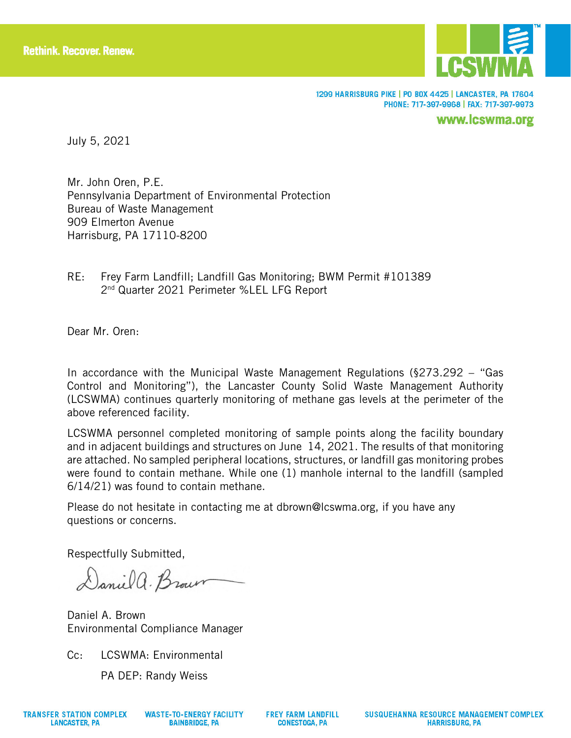

1299 HARRISBURG PIKE | PO BOX 4425 | LANCASTER, PA 17604 PHONE: 717-397-9968 | FAX: 717-397-9973

www.lcswma.org

July 5, 2021

Mr. John Oren, P.E. Pennsylvania Department of Environmental Protection Bureau of Waste Management 909 Elmerton Avenue Harrisburg, PA 17110-8200

RE: Frey Farm Landfill; Landfill Gas Monitoring; BWM Permit #101389 2nd Quarter 2021 Perimeter %LEL LFG Report

Dear Mr. Oren:

In accordance with the Municipal Waste Management Regulations (§273.292 – "Gas Control and Monitoring"), the Lancaster County Solid Waste Management Authority (LCSWMA) continues quarterly monitoring of methane gas levels at the perimeter of the above referenced facility.

LCSWMA personnel completed monitoring of sample points along the facility boundary and in adjacent buildings and structures on June 14, 2021. The results of that monitoring are attached. No sampled peripheral locations, structures, or landfill gas monitoring probes were found to contain methane. While one (1) manhole internal to the landfill (sampled 6/14/21) was found to contain methane.

Please do not hesitate in contacting me at dbrown@lcswma.org, if you have any questions or concerns.

Respectfully Submitted,

Daniel a. Brown

Daniel A. Brown Environmental Compliance Manager

Cc: LCSWMA: Environmental

PA DEP: Randy Weiss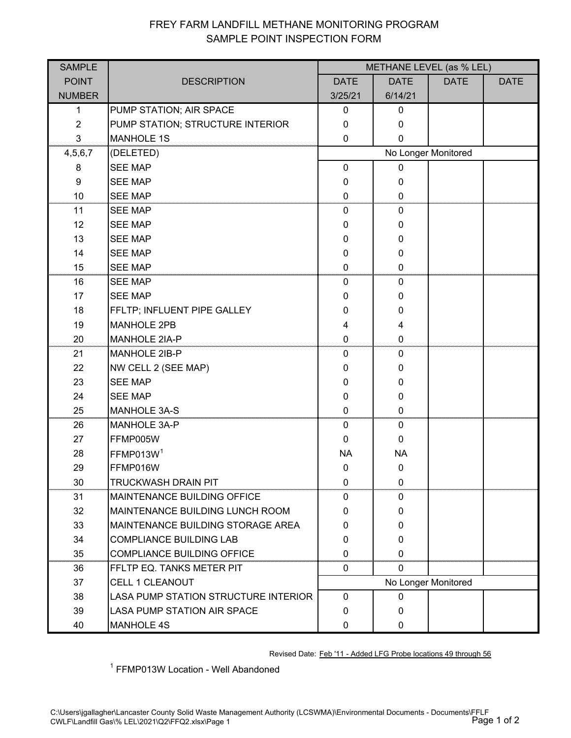## FREY FARM LANDFILL METHANE MONITORING PROGRAM SAMPLE POINT INSPECTION FORM

| <b>SAMPLE</b>    |                                             | METHANE LEVEL (as % LEL) |              |             |             |  |
|------------------|---------------------------------------------|--------------------------|--------------|-------------|-------------|--|
| <b>POINT</b>     | <b>DESCRIPTION</b>                          | <b>DATE</b>              | <b>DATE</b>  | <b>DATE</b> | <b>DATE</b> |  |
| <b>NUMBER</b>    |                                             | 3/25/21                  | 6/14/21      |             |             |  |
| 1                | PUMP STATION; AIR SPACE                     | $\mathbf{0}$             | $\mathbf 0$  |             |             |  |
| $\overline{2}$   | PUMP STATION; STRUCTURE INTERIOR            | $\mathbf{0}$             | 0            |             |             |  |
| 3                | <b>MANHOLE 1S</b>                           | 0                        | $\Omega$     |             |             |  |
| 4,5,6,7          | (DELETED)                                   | No Longer Monitored      |              |             |             |  |
| 8                | <b>SEE MAP</b>                              | $\mathbf 0$              | 0            |             |             |  |
| $\boldsymbol{9}$ | <b>SEE MAP</b>                              | $\mathbf{0}$             | 0            |             |             |  |
| 10               | <b>SEE MAP</b>                              | $\mathbf{0}$             | $\Omega$     |             |             |  |
| 11               | <b>SEE MAP</b>                              | 0                        | 0            |             |             |  |
| 12               | <b>SEE MAP</b>                              | $\mathbf{0}$             | $\Omega$     |             |             |  |
| 13               | <b>SEE MAP</b>                              | 0                        | $\Omega$     |             |             |  |
| 14               | <b>SEE MAP</b>                              | 0                        | 0            |             |             |  |
| 15               | <b>SEE MAP</b>                              | 0                        | $\Omega$     |             |             |  |
| 16               | <b>SEE MAP</b>                              | 0                        | 0            |             |             |  |
| 17               | <b>SEE MAP</b>                              | 0                        | 0            |             |             |  |
| 18               | FFLTP; INFLUENT PIPE GALLEY                 | 0                        | 0            |             |             |  |
| 19               | <b>MANHOLE 2PB</b>                          | 4                        | 4            |             |             |  |
| 20               | <b>MANHOLE 2IA-P</b>                        | $\mathbf{0}$             | 0            |             |             |  |
| 21               | MANHOLE 2IB-P                               | 0                        | 0            |             |             |  |
| 22               | NW CELL 2 (SEE MAP)                         | 0                        | $\Omega$     |             |             |  |
| 23               | <b>SEE MAP</b>                              | 0                        | $\Omega$     |             |             |  |
| 24               | <b>SEE MAP</b>                              | 0                        | 0            |             |             |  |
| 25               | <b>MANHOLE 3A-S</b>                         | 0                        |              |             |             |  |
| 26               | MANHOLE 3A-P                                | 0                        | 0            |             |             |  |
| 27               | FFMP005W                                    | $\Omega$                 | $\Omega$     |             |             |  |
| 28               | FFMP013W <sup>1</sup>                       | <b>NA</b>                | <b>NA</b>    |             |             |  |
| 29               | FFMP016W                                    | $\mathbf 0$              | $\mathbf 0$  |             |             |  |
| 30               | <b>TRUCKWASH DRAIN PIT</b>                  | 0                        | 0            |             |             |  |
| 31               | <b>MAINTENANCE BUILDING OFFICE</b>          | $\mathbf{0}$             |              |             |             |  |
| 32               | <b>MAINTENANCE BUILDING LUNCH ROOM</b>      | 0                        | $\Omega$     |             |             |  |
| 33               | MAINTENANCE BUILDING STORAGE AREA           | 0                        | 0            |             |             |  |
| 34               | <b>COMPLIANCE BUILDING LAB</b>              | 0                        | 0            |             |             |  |
| 35               | <b>COMPLIANCE BUILDING OFFICE</b>           | $\Omega$                 | 0            |             |             |  |
| 36               | FFLTP EQ. TANKS METER PIT                   | 0                        | 0            |             |             |  |
| 37               | <b>CELL 1 CLEANOUT</b>                      | No Longer Monitored      |              |             |             |  |
| 38               | <b>LASA PUMP STATION STRUCTURE INTERIOR</b> | $\mathbf 0$              | 0            |             |             |  |
| 39               | <b>LASA PUMP STATION AIR SPACE</b>          | $\mathbf{0}$             | $\Omega$     |             |             |  |
| 40               | <b>MANHOLE 4S</b>                           | 0                        | $\mathbf{0}$ |             |             |  |

Revised Date: Feb '11 - Added LFG Probe locations 49 through 56

<sup>1</sup> FFMP013W Location - Well Abandoned